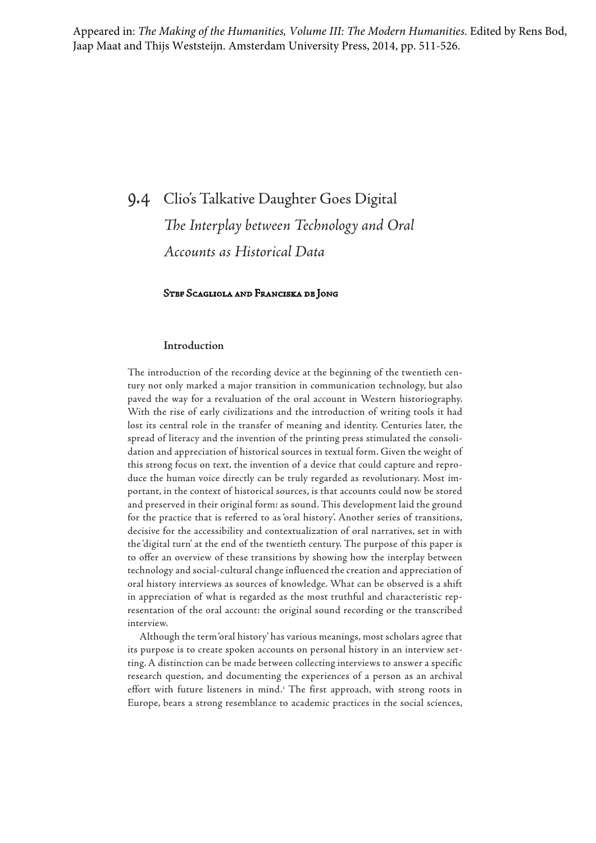Appeared in: *The Making of the Humanities, Volume III: The Modern Humanities*. Edited by Rens Bod, Jaap Maat and Thijs Weststeijn. Amsterdam University Press, 2014, pp. 511-526.

# 9.4 Clio's Talkative Daughter Goes Digital *The Interplay between Technology and Oral Accounts as Historical Data*

## Stef Scagliola and Franciska de Jong

# **Introduction**

The introduction of the recording device at the beginning of the twentieth century not only marked a major transition in communication technology, but also paved the way for a revaluation of the oral account in Western historiography. With the rise of early civilizations and the introduction of writing tools it had lost its central role in the transfer of meaning and identity. Centuries later, the spread of literacy and the invention of the printing press stimulated the consolidation and appreciation of historical sources in textual form. Given the weight of this strong focus on text, the invention of a device that could capture and reproduce the human voice directly can be truly regarded as revolutionary. Most important, in the context of historical sources, is that accounts could now be stored and preserved in their original form: as sound. This development laid the ground for the practice that is referred to as 'oral history'. Another series of transitions, decisive for the accessibility and contextualization of oral narratives, set in with the 'digital turn' at the end of the twentieth century. The purpose of this paper is to offer an overview of these transitions by showing how the interplay between technology and social-cultural change influenced the creation and appreciation of oral history interviews as sources of knowledge. What can be observed is a shift in appreciation of what is regarded as the most truthful and characteristic representation of the oral account: the original sound recording or the transcribed interview.

Although the term 'oral history' has various meanings, most scholars agree that its purpose is to create spoken accounts on personal history in an interview setting. A distinction can be made between collecting interviews to answer a specific research question, and documenting the experiences of a person as an archival effort with future listeners in mind.<sup>1</sup> The first approach, with strong roots in Europe, bears a strong resemblance to academic practices in the social sciences,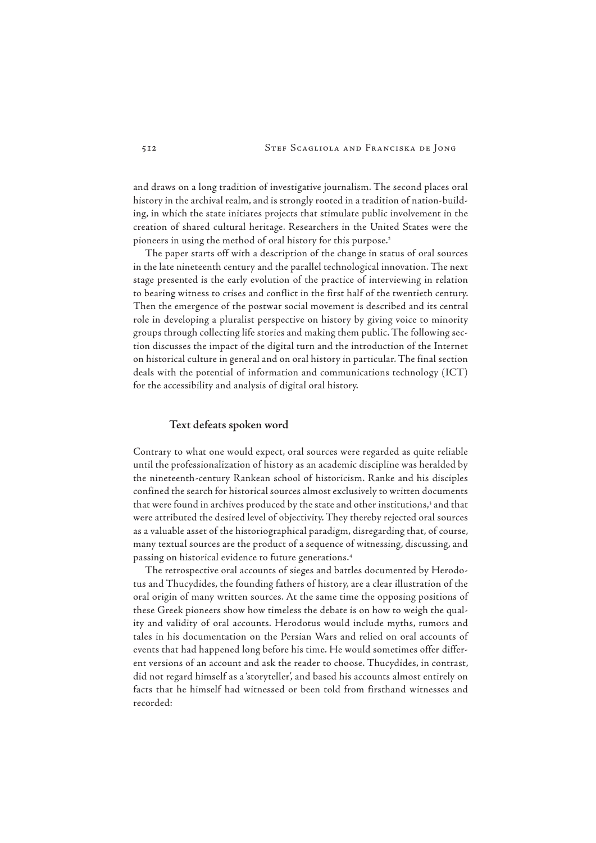and draws on a long tradition of investigative journalism. The second places oral history in the archival realm, and is strongly rooted in a tradition of nation-building, in which the state initiates projects that stimulate public involvement in the creation of shared cultural heritage. Researchers in the United States were the pioneers in using the method of oral history for this purpose.2

The paper starts off with a description of the change in status of oral sources in the late nineteenth century and the parallel technological innovation. The next stage presented is the early evolution of the practice of interviewing in relation to bearing witness to crises and conflict in the first half of the twentieth century. Then the emergence of the postwar social movement is described and its central role in developing a pluralist perspective on history by giving voice to minority groups through collecting life stories and making them public. The following section discusses the impact of the digital turn and the introduction of the Internet on historical culture in general and on oral history in particular. The final section deals with the potential of information and communications technology (ICT) for the accessibility and analysis of digital oral history.

## **Text defeats spoken word**

Contrary to what one would expect, oral sources were regarded as quite reliable until the professionalization of history as an academic discipline was heralded by the nineteenth-century Rankean school of historicism. Ranke and his disciples confined the search for historical sources almost exclusively to written documents that were found in archives produced by the state and other institutions,<sup>3</sup> and that were attributed the desired level of objectivity. They thereby rejected oral sources as a valuable asset of the historiographical paradigm, disregarding that, of course, many textual sources are the product of a sequence of witnessing, discussing, and passing on historical evidence to future generations.4

The retrospective oral accounts of sieges and battles documented by Herodotus and Thucydides, the founding fathers of history, are a clear illustration of the oral origin of many written sources. At the same time the opposing positions of these Greek pioneers show how timeless the debate is on how to weigh the quality and validity of oral accounts. Herodotus would include myths, rumors and tales in his documentation on the Persian Wars and relied on oral accounts of events that had happened long before his time. He would sometimes offer different versions of an account and ask the reader to choose. Thucydides, in contrast, did not regard himself as a 'storyteller', and based his accounts almost entirely on facts that he himself had witnessed or been told from firsthand witnesses and recorded: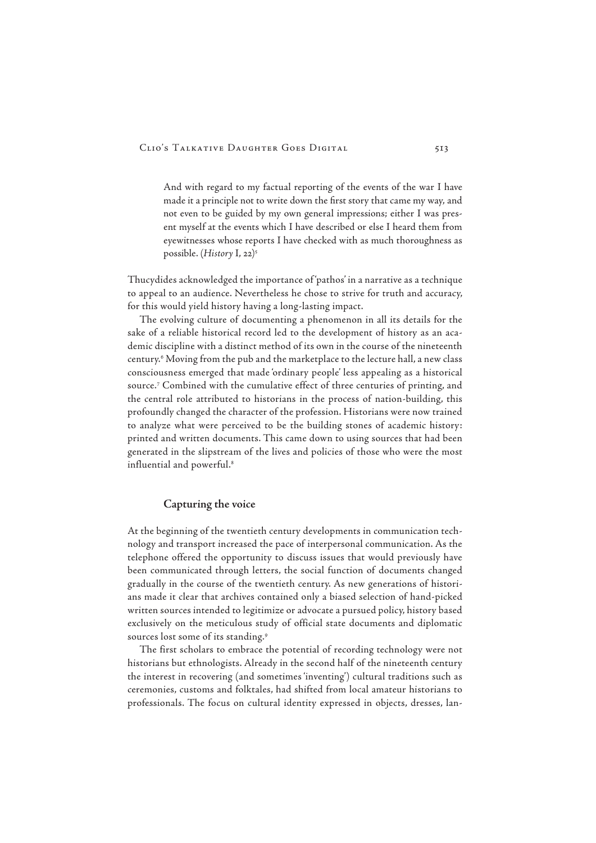And with regard to my factual reporting of the events of the war I have made it a principle not to write down the first story that came my way, and not even to be guided by my own general impressions; either I was present myself at the events which I have described or else I heard them from eyewitnesses whose reports I have checked with as much thoroughness as possible. (*History* I, 22)<sup>5</sup>

Thucydides acknowledged the importance of 'pathos' in a narrative as a technique to appeal to an audience. Nevertheless he chose to strive for truth and accuracy, for this would yield history having a long-lasting impact.

The evolving culture of documenting a phenomenon in all its details for the sake of a reliable historical record led to the development of history as an academic discipline with a distinct method of its own in the course of the nineteenth century.6 Moving from the pub and the marketplace to the lecture hall, a new class consciousness emerged that made 'ordinary people' less appealing as a historical source.7 Combined with the cumulative effect of three centuries of printing, and the central role attributed to historians in the process of nation-building, this profoundly changed the character of the profession. Historians were now trained to analyze what were perceived to be the building stones of academic history: printed and written documents. This came down to using sources that had been generated in the slipstream of the lives and policies of those who were the most influential and powerful.<sup>8</sup>

#### **Capturing the voice**

At the beginning of the twentieth century developments in communication technology and transport increased the pace of interpersonal communication. As the telephone offered the opportunity to discuss issues that would previously have been communicated through letters, the social function of documents changed gradually in the course of the twentieth century. As new generations of historians made it clear that archives contained only a biased selection of hand-picked written sources intended to legitimize or advocate a pursued policy, history based exclusively on the meticulous study of official state documents and diplomatic sources lost some of its standing.<sup>9</sup>

The first scholars to embrace the potential of recording technology were not historians but ethnologists. Already in the second half of the nineteenth century the interest in recovering (and sometimes 'inventing') cultural traditions such as ceremonies, customs and folktales, had shifted from local amateur historians to professionals. The focus on cultural identity expressed in objects, dresses, lan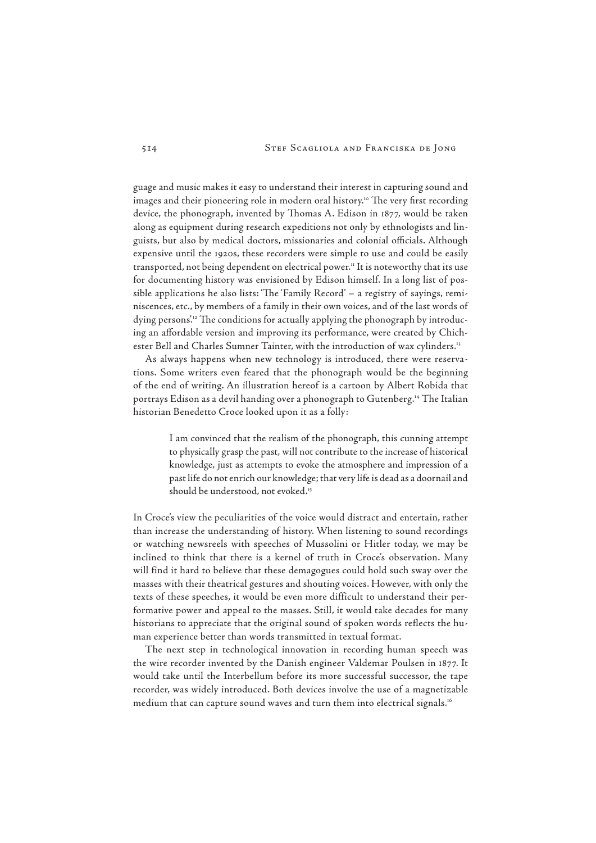guage and music makes it easy to understand their interest in capturing sound and images and their pioneering role in modern oral history.<sup>10</sup> The very first recording device, the phonograph, invented by Thomas A. Edison in 1877, would be taken along as equipment during research expeditions not only by ethnologists and linguists, but also by medical doctors, missionaries and colonial officials. Although expensive until the 1920s, these recorders were simple to use and could be easily transported, not being dependent on electrical power.<sup>11</sup> It is noteworthy that its use for documenting history was envisioned by Edison himself. In a long list of possible applications he also lists: 'The 'Family Record' – a registry of sayings, reminiscences, etc., by members of a family in their own voices, and of the last words of dying persons.<sup>12</sup> The conditions for actually applying the phonograph by introducing an affordable version and improving its performance, were created by Chichester Bell and Charles Sumner Tainter, with the introduction of wax cylinders.<sup>13</sup>

As always happens when new technology is introduced, there were reservations. Some writers even feared that the phonograph would be the beginning of the end of writing. An illustration hereof is a cartoon by Albert Robida that portrays Edison as a devil handing over a phonograph to Gutenberg.14 The Italian historian Benedetto Croce looked upon it as a folly:

> I am convinced that the realism of the phonograph, this cunning attempt to physically grasp the past, will not contribute to the increase of historical knowledge, just as attempts to evoke the atmosphere and impression of a past life do not enrich our knowledge; that very life is dead as a doornail and should be understood, not evoked.<sup>15</sup>

In Croce's view the peculiarities of the voice would distract and entertain, rather than increase the understanding of history. When listening to sound recordings or watching newsreels with speeches of Mussolini or Hitler today, we may be inclined to think that there is a kernel of truth in Croce's observation. Many will find it hard to believe that these demagogues could hold such sway over the masses with their theatrical gestures and shouting voices. However, with only the texts of these speeches, it would be even more difficult to understand their performative power and appeal to the masses. Still, it would take decades for many historians to appreciate that the original sound of spoken words reflects the human experience better than words transmitted in textual format.

The next step in technological innovation in recording human speech was the wire recorder invented by the Danish engineer Valdemar Poulsen in 1877. It would take until the Interbellum before its more successful successor, the tape recorder, was widely introduced. Both devices involve the use of a magnetizable medium that can capture sound waves and turn them into electrical signals.<sup>16</sup>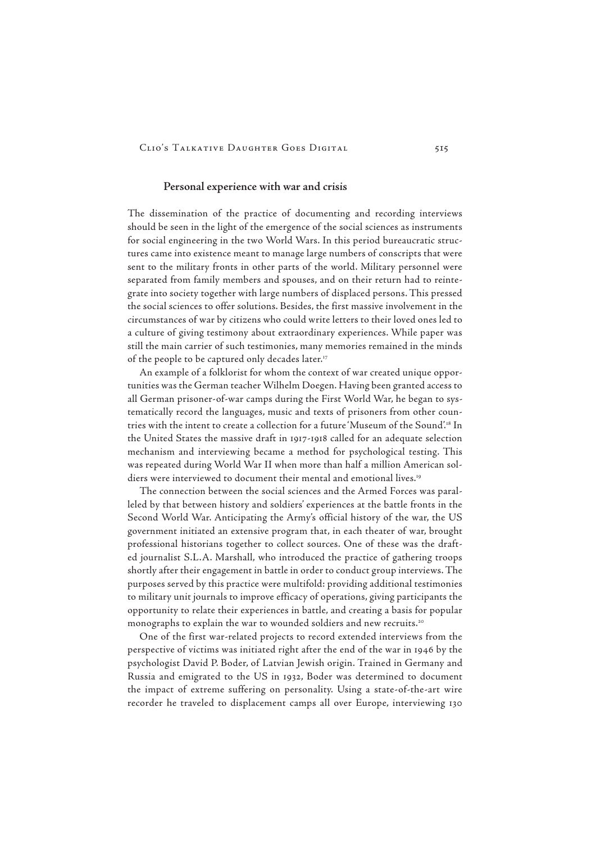#### **Personal experience with war and crisis**

The dissemination of the practice of documenting and recording interviews should be seen in the light of the emergence of the social sciences as instruments for social engineering in the two World Wars. In this period bureaucratic structures came into existence meant to manage large numbers of conscripts that were sent to the military fronts in other parts of the world. Military personnel were separated from family members and spouses, and on their return had to reintegrate into society together with large numbers of displaced persons. This pressed the social sciences to offer solutions. Besides, the first massive involvement in the circumstances of war by citizens who could write letters to their loved ones led to a culture of giving testimony about extraordinary experiences. While paper was still the main carrier of such testimonies, many memories remained in the minds of the people to be captured only decades later.<sup>17</sup>

An example of a folklorist for whom the context of war created unique opportunities was the German teacher Wilhelm Doegen. Having been granted access to all German prisoner-of-war camps during the First World War, he began to systematically record the languages, music and texts of prisoners from other countries with the intent to create a collection for a future 'Museum of the Sound'.18 In the United States the massive draft in 1917-1918 called for an adequate selection mechanism and interviewing became a method for psychological testing. This was repeated during World War II when more than half a million American soldiers were interviewed to document their mental and emotional lives.19

The connection between the social sciences and the Armed Forces was paralleled by that between history and soldiers' experiences at the battle fronts in the Second World War. Anticipating the Army's official history of the war, the US government initiated an extensive program that, in each theater of war, brought professional historians together to collect sources. One of these was the drafted journalist S.L.A. Marshall, who introduced the practice of gathering troops shortly after their engagement in battle in order to conduct group interviews. The purposes served by this practice were multifold: providing additional testimonies to military unit journals to improve efficacy of operations, giving participants the opportunity to relate their experiences in battle, and creating a basis for popular monographs to explain the war to wounded soldiers and new recruits.<sup>20</sup>

One of the first war-related projects to record extended interviews from the perspective of victims was initiated right after the end of the war in 1946 by the psychologist David P. Boder, of Latvian Jewish origin. Trained in Germany and Russia and emigrated to the US in 1932, Boder was determined to document the impact of extreme suffering on personality. Using a state-of-the-art wire recorder he traveled to displacement camps all over Europe, interviewing 130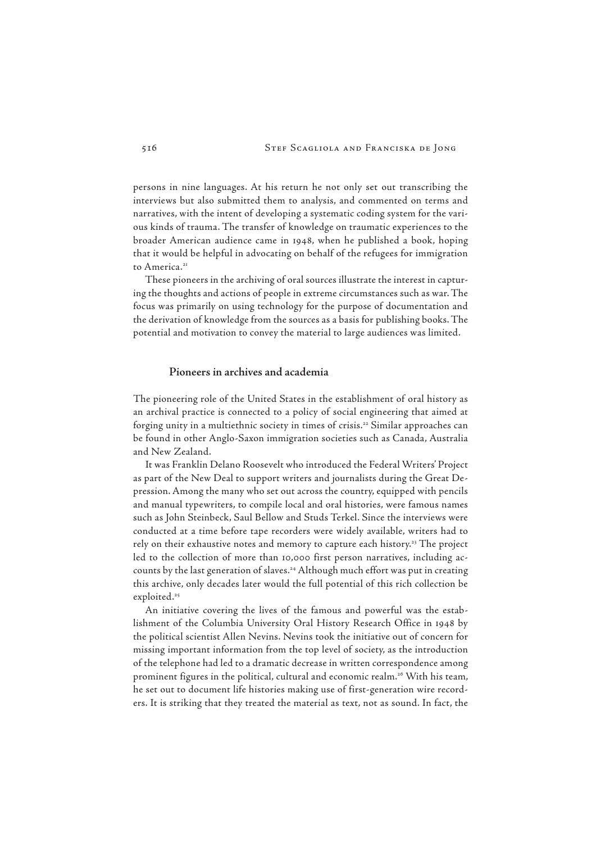persons in nine languages. At his return he not only set out transcribing the interviews but also submitted them to analysis, and commented on terms and narratives, with the intent of developing a systematic coding system for the various kinds of trauma. The transfer of knowledge on traumatic experiences to the broader American audience came in 1948, when he published a book, hoping that it would be helpful in advocating on behalf of the refugees for immigration to America.<sup>21</sup>

These pioneers in the archiving of oral sources illustrate the interest in capturing the thoughts and actions of people in extreme circumstances such as war. The focus was primarily on using technology for the purpose of documentation and the derivation of knowledge from the sources as a basis for publishing books. The potential and motivation to convey the material to large audiences was limited.

# **Pioneers in archives and academia**

The pioneering role of the United States in the establishment of oral history as an archival practice is connected to a policy of social engineering that aimed at forging unity in a multiethnic society in times of crisis.<sup>22</sup> Similar approaches can be found in other Anglo-Saxon immigration societies such as Canada, Australia and New Zealand.

It was Franklin Delano Roosevelt who introduced the Federal Writers' Project as part of the New Deal to support writers and journalists during the Great Depression. Among the many who set out across the country, equipped with pencils and manual typewriters, to compile local and oral histories, were famous names such as John Steinbeck, Saul Bellow and Studs Terkel. Since the interviews were conducted at a time before tape recorders were widely available, writers had to rely on their exhaustive notes and memory to capture each history.<sup>23</sup> The project led to the collection of more than 10,000 first person narratives, including accounts by the last generation of slaves.24 Although much effort was put in creating this archive, only decades later would the full potential of this rich collection be exploited.<sup>25</sup>

An initiative covering the lives of the famous and powerful was the establishment of the Columbia University Oral History Research Office in 1948 by the political scientist Allen Nevins. Nevins took the initiative out of concern for missing important information from the top level of society, as the introduction of the telephone had led to a dramatic decrease in written correspondence among prominent figures in the political, cultural and economic realm.<sup>26</sup> With his team, he set out to document life histories making use of first-generation wire recorders. It is striking that they treated the material as text, not as sound. In fact, the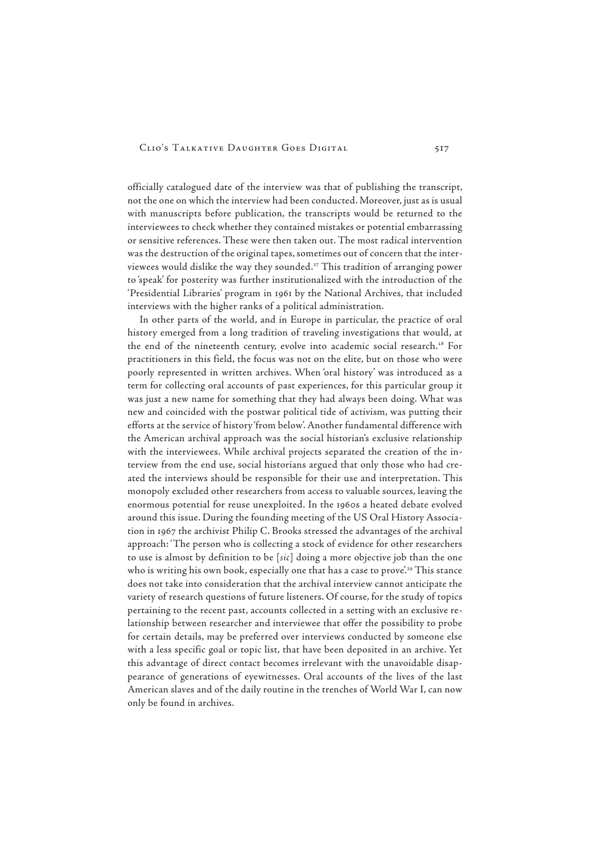officially catalogued date of the interview was that of publishing the transcript, not the one on which the interview had been conducted. Moreover, just as is usual with manuscripts before publication, the transcripts would be returned to the interviewees to check whether they contained mistakes or potential embarrassing or sensitive references. These were then taken out. The most radical intervention was the destruction of the original tapes, sometimes out of concern that the interviewees would dislike the way they sounded.<sup>27</sup> This tradition of arranging power to 'speak' for posterity was further institutionalized with the introduction of the 'Presidential Libraries' program in 1961 by the National Archives, that included interviews with the higher ranks of a political administration.

In other parts of the world, and in Europe in particular, the practice of oral history emerged from a long tradition of traveling investigations that would, at the end of the nineteenth century, evolve into academic social research.<sup>28</sup> For practitioners in this field, the focus was not on the elite, but on those who were poorly represented in written archives. When 'oral history' was introduced as a term for collecting oral accounts of past experiences, for this particular group it was just a new name for something that they had always been doing. What was new and coincided with the postwar political tide of activism, was putting their efforts at the service of history 'from below'. Another fundamental difference with the American archival approach was the social historian's exclusive relationship with the interviewees. While archival projects separated the creation of the interview from the end use, social historians argued that only those who had created the interviews should be responsible for their use and interpretation. This monopoly excluded other researchers from access to valuable sources, leaving the enormous potential for reuse unexploited. In the 1960s a heated debate evolved around this issue. During the founding meeting of the US Oral History Association in 1967 the archivist Philip C. Brooks stressed the advantages of the archival approach: 'The person who is collecting a stock of evidence for other researchers to use is almost by definition to be [*sic*] doing a more objective job than the one who is writing his own book, especially one that has a case to prove<sup>',29</sup> This stance does not take into consideration that the archival interview cannot anticipate the variety of research questions of future listeners. Of course, for the study of topics pertaining to the recent past, accounts collected in a setting with an exclusive relationship between researcher and interviewee that offer the possibility to probe for certain details, may be preferred over interviews conducted by someone else with a less specific goal or topic list, that have been deposited in an archive. Yet this advantage of direct contact becomes irrelevant with the unavoidable disappearance of generations of eyewitnesses. Oral accounts of the lives of the last American slaves and of the daily routine in the trenches of World War I, can now only be found in archives.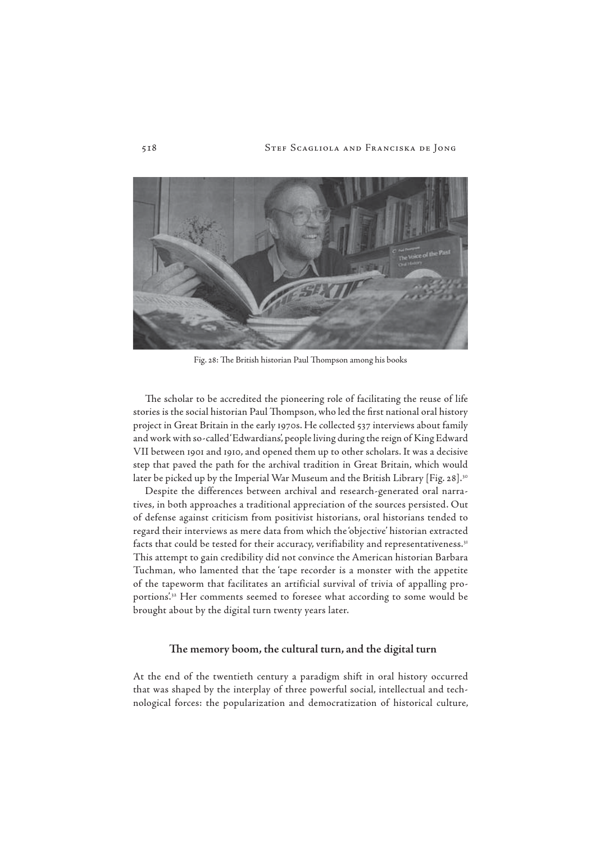Stef Scagliola and Franciska de Jong



Fig. 28: The British historian Paul Thompson among his books

The scholar to be accredited the pioneering role of facilitating the reuse of life stories is the social historian Paul Thompson, who led the first national oral history project in Great Britain in the early 1970s. He collected 537 interviews about family and work with so-called 'Edwardians', people living during the reign of King Edward VII between 1901 and 1910, and opened them up to other scholars. It was a decisive step that paved the path for the archival tradition in Great Britain, which would later be picked up by the Imperial War Museum and the British Library [Fig. 28].30

Despite the differences between archival and research-generated oral narratives, in both approaches a traditional appreciation of the sources persisted. Out of defense against criticism from positivist historians, oral historians tended to regard their interviews as mere data from which the 'objective' historian extracted facts that could be tested for their accuracy, verifiability and representativeness.<sup>31</sup> This attempt to gain credibility did not convince the American historian Barbara Tuchman, who lamented that the 'tape recorder is a monster with the appetite of the tapeworm that facilitates an artificial survival of trivia of appalling proportions<sup>'32</sup> Her comments seemed to foresee what according to some would be brought about by the digital turn twenty years later.

#### **The memory boom, the cultural turn, and the digital turn**

At the end of the twentieth century a paradigm shift in oral history occurred that was shaped by the interplay of three powerful social, intellectual and technological forces: the popularization and democratization of historical culture,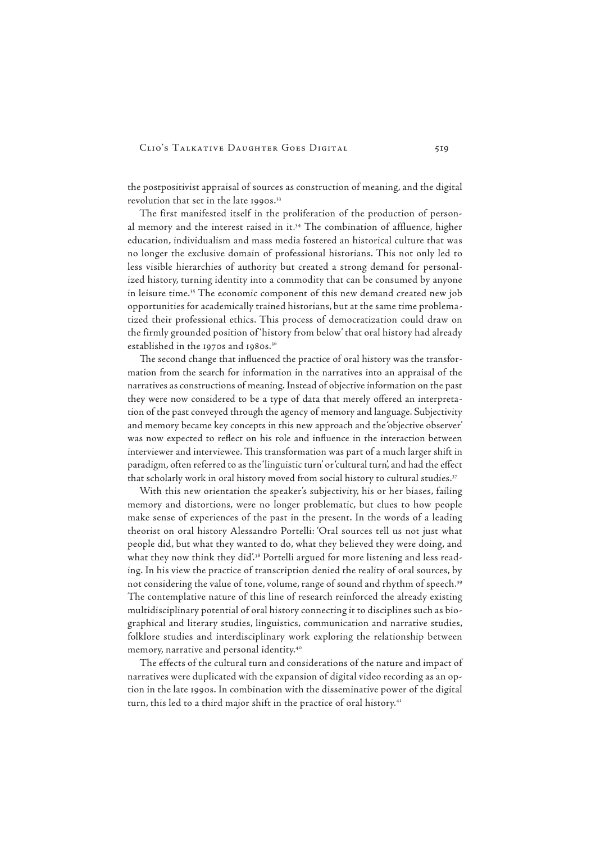the postpositivist appraisal of sources as construction of meaning, and the digital revolution that set in the late 1990s.<sup>33</sup>

The first manifested itself in the proliferation of the production of personal memory and the interest raised in it.34 The combination of affluence, higher education, individualism and mass media fostered an historical culture that was no longer the exclusive domain of professional historians. This not only led to less visible hierarchies of authority but created a strong demand for personalized history, turning identity into a commodity that can be consumed by anyone in leisure time.<sup>35</sup> The economic component of this new demand created new job opportunities for academically trained historians, but at the same time problematized their professional ethics. This process of democratization could draw on the firmly grounded position of 'history from below' that oral history had already established in the 1970s and 1980s.<sup>36</sup>

The second change that influenced the practice of oral history was the transformation from the search for information in the narratives into an appraisal of the narratives as constructions of meaning. Instead of objective information on the past they were now considered to be a type of data that merely offered an interpretation of the past conveyed through the agency of memory and language. Subjectivity and memory became key concepts in this new approach and the 'objective observer' was now expected to reflect on his role and influence in the interaction between interviewer and interviewee. This transformation was part of a much larger shift in paradigm, often referred to as the 'linguistic turn' or 'cultural turn', and had the effect that scholarly work in oral history moved from social history to cultural studies.<sup>37</sup>

With this new orientation the speaker's subjectivity, his or her biases, failing memory and distortions, were no longer problematic, but clues to how people make sense of experiences of the past in the present. In the words of a leading theorist on oral history Alessandro Portelli: 'Oral sources tell us not just what people did, but what they wanted to do, what they believed they were doing, and what they now think they did'.<sup>38</sup> Portelli argued for more listening and less reading. In his view the practice of transcription denied the reality of oral sources, by not considering the value of tone, volume, range of sound and rhythm of speech.<sup>39</sup> The contemplative nature of this line of research reinforced the already existing multidisciplinary potential of oral history connecting it to disciplines such as biographical and literary studies, linguistics, communication and narrative studies, folklore studies and interdisciplinary work exploring the relationship between memory, narrative and personal identity.40

The effects of the cultural turn and considerations of the nature and impact of narratives were duplicated with the expansion of digital video recording as an option in the late 1990s. In combination with the disseminative power of the digital turn, this led to a third major shift in the practice of oral history.<sup>41</sup>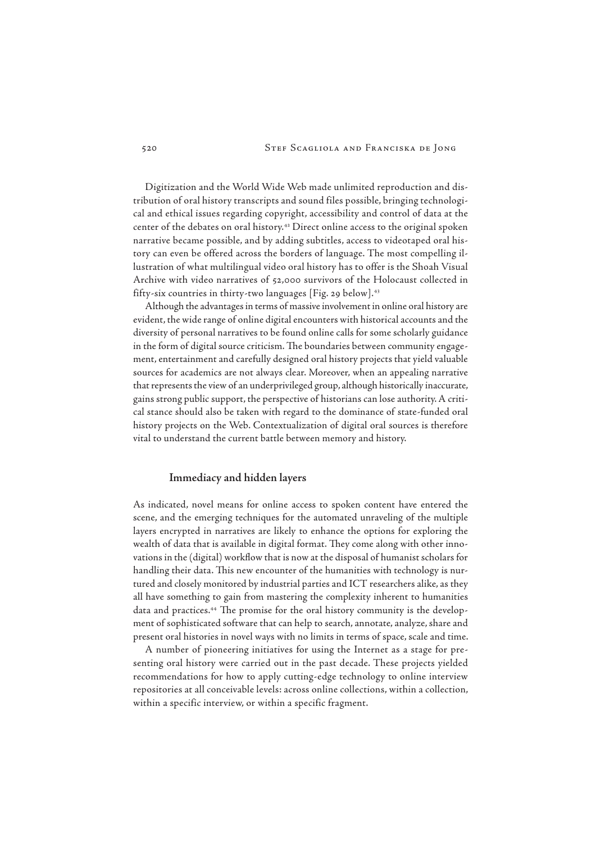Digitization and the World Wide Web made unlimited reproduction and distribution of oral history transcripts and sound files possible, bringing technological and ethical issues regarding copyright, accessibility and control of data at the center of the debates on oral history.42 Direct online access to the original spoken narrative became possible, and by adding subtitles, access to videotaped oral history can even be offered across the borders of language. The most compelling illustration of what multilingual video oral history has to offer is the Shoah Visual Archive with video narratives of 52,000 survivors of the Holocaust collected in fifty-six countries in thirty-two languages [Fig. 29 below].43

Although the advantages in terms of massive involvement in online oral history are evident, the wide range of online digital encounters with historical accounts and the diversity of personal narratives to be found online calls for some scholarly guidance in the form of digital source criticism. The boundaries between community engagement, entertainment and carefully designed oral history projects that yield valuable sources for academics are not always clear. Moreover, when an appealing narrative that represents the view of an underprivileged group, although historically inaccurate, gains strong public support, the perspective of historians can lose authority. A critical stance should also be taken with regard to the dominance of state-funded oral history projects on the Web. Contextualization of digital oral sources is therefore vital to understand the current battle between memory and history.

## **Immediacy and hidden layers**

As indicated, novel means for online access to spoken content have entered the scene, and the emerging techniques for the automated unraveling of the multiple layers encrypted in narratives are likely to enhance the options for exploring the wealth of data that is available in digital format. They come along with other innovations in the (digital) workflow that is now at the disposal of humanist scholars for handling their data. This new encounter of the humanities with technology is nurtured and closely monitored by industrial parties and ICT researchers alike, as they all have something to gain from mastering the complexity inherent to humanities data and practices.<sup>44</sup> The promise for the oral history community is the development of sophisticated software that can help to search, annotate, analyze, share and present oral histories in novel ways with no limits in terms of space, scale and time.

A number of pioneering initiatives for using the Internet as a stage for presenting oral history were carried out in the past decade. These projects yielded recommendations for how to apply cutting-edge technology to online interview repositories at all conceivable levels: across online collections, within a collection, within a specific interview, or within a specific fragment.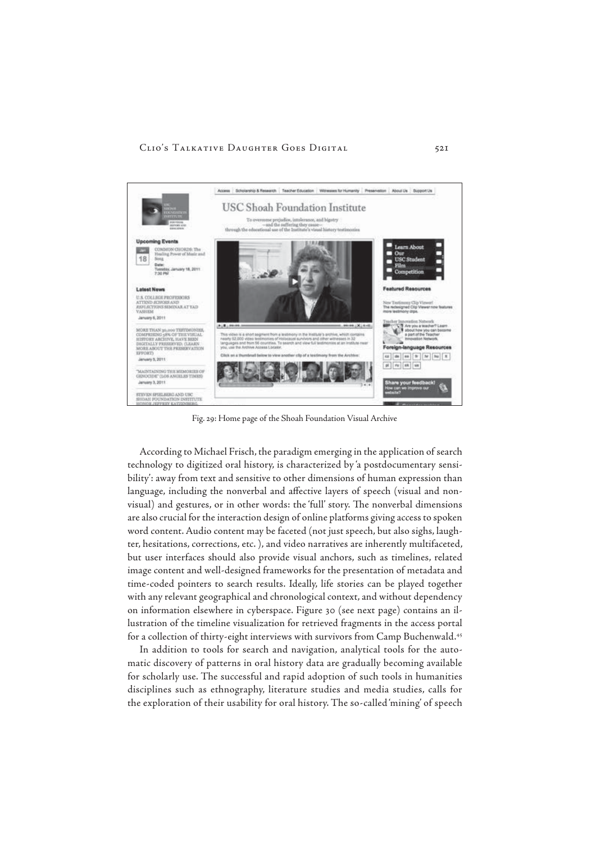#### Clio's Talkative Daughter Goes Digital



Fig. 29: Home page of the Shoah Foundation Visual Archive

According to Michael Frisch, the paradigm emerging in the application of search technology to digitized oral history, is characterized by 'a postdocumentary sensibility': away from text and sensitive to other dimensions of human expression than language, including the nonverbal and affective layers of speech (visual and nonvisual) and gestures, or in other words: the 'full' story. The nonverbal dimensions are also crucial for the interaction design of online platforms giving access to spoken word content. Audio content may be faceted (not just speech, but also sighs, laughter, hesitations, corrections, etc. ), and video narratives are inherently multifaceted, but user interfaces should also provide visual anchors, such as timelines, related image content and well-designed frameworks for the presentation of metadata and time-coded pointers to search results. Ideally, life stories can be played together with any relevant geographical and chronological context, and without dependency on information elsewhere in cyberspace. Figure 30 (see next page) contains an illustration of the timeline visualization for retrieved fragments in the access portal for a collection of thirty-eight interviews with survivors from Camp Buchenwald.<sup>45</sup>

In addition to tools for search and navigation, analytical tools for the automatic discovery of patterns in oral history data are gradually becoming available for scholarly use. The successful and rapid adoption of such tools in humanities disciplines such as ethnography, literature studies and media studies, calls for the exploration of their usability for oral history. The so-called 'mining' of speech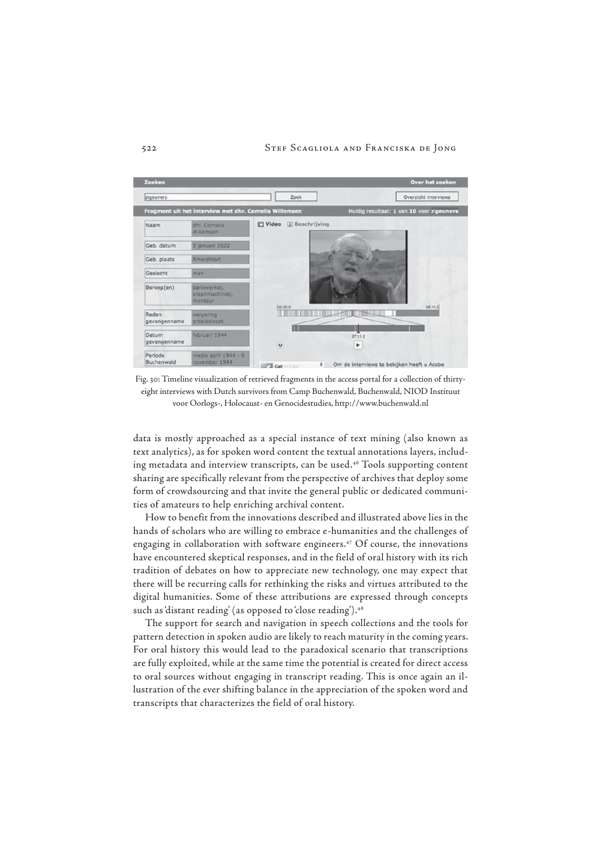### Stef Scagliola and Franciska de Jong



Fig. 30: Timeline visualization of retrieved fragments in the access portal for a collection of thirtyeight interviews with Dutch survivors from Camp Buchenwald, Buchenwald, NIOD Instituut voor Oorlogs-, Holocaust- en Genocidestudies, http://www.buchenwald.nl

data is mostly approached as a special instance of text mining (also known as text analytics), as for spoken word content the textual annotations layers, including metadata and interview transcripts, can be used.<sup>46</sup> Tools supporting content sharing are specifically relevant from the perspective of archives that deploy some form of crowdsourcing and that invite the general public or dedicated communities of amateurs to help enriching archival content.

How to benefit from the innovations described and illustrated above lies in the hands of scholars who are willing to embrace e-humanities and the challenges of engaging in collaboration with software engineers.47 Of course, the innovations have encountered skeptical responses, and in the field of oral history with its rich tradition of debates on how to appreciate new technology, one may expect that there will be recurring calls for rethinking the risks and virtues attributed to the digital humanities. Some of these attributions are expressed through concepts such as 'distant reading' (as opposed to 'close reading').<sup>48</sup>

The support for search and navigation in speech collections and the tools for pattern detection in spoken audio are likely to reach maturity in the coming years. For oral history this would lead to the paradoxical scenario that transcriptions are fully exploited, while at the same time the potential is created for direct access to oral sources without engaging in transcript reading. This is once again an illustration of the ever shifting balance in the appreciation of the spoken word and transcripts that characterizes the field of oral history.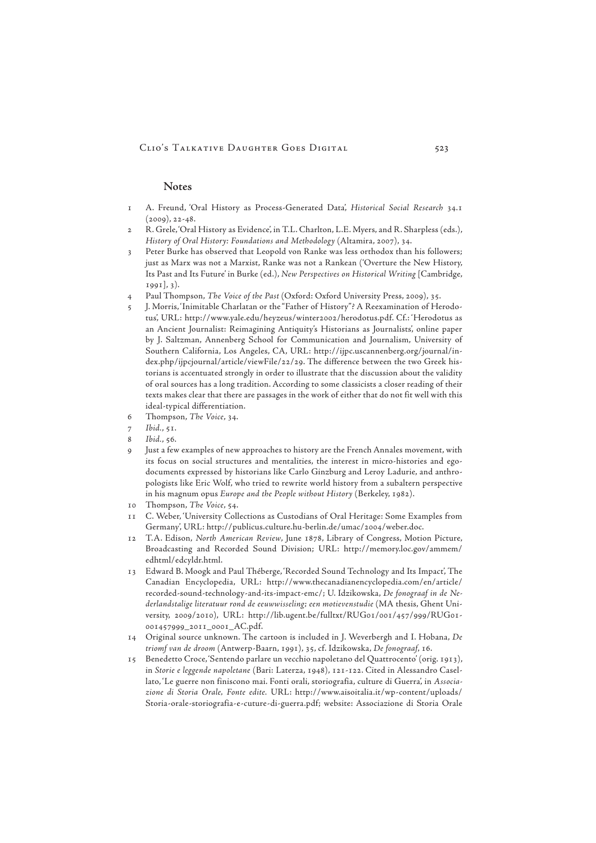#### **Notes**

- A. Freund, 'Oral History as Process-Generated Data', *Historical Social Research* 34.1  $(2009), 22 - 48,$
- R. Grele, 'Oral History as Evidence', in T.L. Charlton, L.E. Myers, and R. Sharpless (eds.), *History of Oral History: Foundations and Methodology* (Altamira, 2007), 34.
- Peter Burke has observed that Leopold von Ranke was less orthodox than his followers; just as Marx was not a Marxist, Ranke was not a Rankean ('Overture the New History, Its Past and Its Future' in Burke (ed.), *New Perspectives on Historical Writing* [Cambridge,  $1991, 3$ .
- Paul Thompson, *The Voice of the Past* (Oxford: Oxford University Press, 2009), 35.
- J. Morris, 'Inimitable Charlatan or the "Father of History"? A Reexamination of Herodotus', URL: http://www.yale.edu/heyzeus/winter2002/herodotus.pdf. Cf.: 'Herodotus as an Ancient Journalist: Reimagining Antiquity's Historians as Journalists', online paper by J. Saltzman, Annenberg School for Communication and Journalism, University of Southern California, Los Angeles, CA, URL: http://ijpc.uscannenberg.org/journal/index.php/ijpcjournal/article/viewFile/22/29. The difference between the two Greek historians is accentuated strongly in order to illustrate that the discussion about the validity of oral sources has a long tradition. According to some classicists a closer reading of their texts makes clear that there are passages in the work of either that do not fit well with this ideal-typical differentiation.
- 6 Thompson, *The Voice*, 34.
- *Ibid.*, 51.
- 8 *Ibid.*, 56.
- Just a few examples of new approaches to history are the French Annales movement, with its focus on social structures and mentalities, the interest in micro-histories and egodocuments expressed by historians like Carlo Ginzburg and Leroy Ladurie, and anthropologists like Eric Wolf, who tried to rewrite world history from a subaltern perspective in his magnum opus *Europe and the People without History* (Berkeley, 1982).
- 10 Thompson, *The Voice*, 54.
- C. Weber, 'University Collections as Custodians of Oral Heritage: Some Examples from Germany', URL: http://publicus.culture.hu-berlin.de/umac/2004/weber.doc.
- 12 T.A. Edison, *North American Review*, June 1878, Library of Congress, Motion Picture, Broadcasting and Recorded Sound Division; URL: http://memory.loc.gov/ammem/ edhtml/edcyldr.html.
- Edward B. Moogk and Paul Théberge, 'Recorded Sound Technology and Its Impact', The Canadian Encyclopedia, URL: http://www.thecanadianencyclopedia.com/en/article/ recorded-sound-technology-and-its-impact-emc/; U. Idzikowska, *De fonograaf in de Nederlandstalige literatuur rond de eeuwwisseling; een motievenstudie* (MA thesis, Ghent University, 2009/2010), URL: http://lib.ugent.be/fulltxt/RUG01/001/457/999/RUG01-001457999\_2011\_0001\_AC.pdf.
- Original source unknown. The cartoon is included in J. Weverbergh and I. Hobana, *De triomf van de droom* (Antwerp-Baarn, 1991), 35, cf. Idzikowska, De fonograaf, 16.
- 15 Benedetto Croce, 'Sentendo parlare un vecchio napoletano del Quattrocento' (orig. 1913), in Storie e leggende napoletane (Bari: Laterza, 1948), 121-122. Cited in Alessandro Casellato, 'Le guerre non finiscono mai. Fonti orali, storiografia, culture di Guerra', in *Associazione di Storia Orale, Fonte edite.* URL: http://www.aisoitalia.it/wp-content/uploads/ Storia-orale-storiografia-e-cuture-di-guerra.pdf; website: Associazione di Storia Orale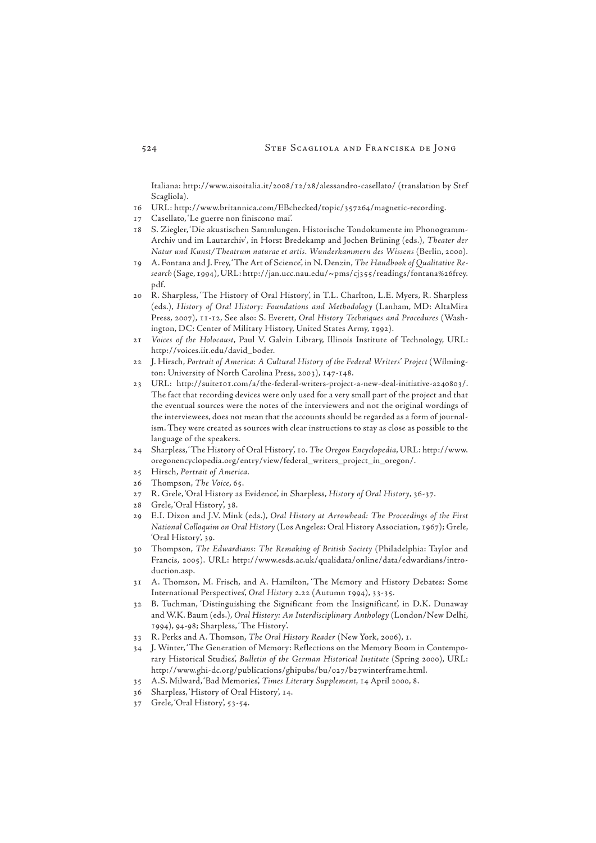Italiana: http://www.aisoitalia.it/2008/12/28/alessandro-casellato/ (translation by Stef Scagliola).

- 16 URL: http://www.britannica.com/EBchecked/topic/357264/magnetic-recording.
- Casellato, 'Le guerre non finiscono mai'.
- S. Ziegler, 'Die akustischen Sammlungen. Historische Tondokumente im Phonogramm-Archiv und im Lautarchiv', in Horst Bredekamp and Jochen Brüning (eds.), *Theater der Natur und Kunst/Theatrum naturae et artis. Wunderkammern des Wissens* (Berlin, 2000).
- A. Fontana and J. Frey, 'The Art of Science', in N. Denzin, *The Handbook of Qualitative Re*search (Sage, 1994), URL: http://jan.ucc.nau.edu/~pms/cj355/readings/fontana%26frey. pdf.
- R. Sharpless, 'The History of Oral History', in T.L. Charlton, L.E. Myers, R. Sharpless (eds.), *History of Oral History: Foundations and Methodology* (Lanham, MD: AltaMira Press, 2007), 11-12, See also: S. Everett, *Oral History Techniques and Procedures* (Washington, DC: Center of Military History, United States Army, 1992).
- *Voices of the Holocaust*, Paul V. Galvin Library, Illinois Institute of Technology, URL: http://voices.iit.edu/david\_boder.
- J. Hirsch, *Portrait of America: A Cultural History of the Federal Writers' Project* (Wilmington: University of North Carolina Press, 2003), 147-148.
- 23 URL: http://suite101.com/a/the-federal-writers-project-a-new-deal-initiative-a240803/. The fact that recording devices were only used for a very small part of the project and that the eventual sources were the notes of the interviewers and not the original wordings of the interviewees, does not mean that the accounts should be regarded as a form of journalism. They were created as sources with clear instructions to stay as close as possible to the language of the speakers.
- Sharpless, 'The History of Oral History', . *The Oregon Encyclopedia*, URL: http://www. oregonencyclopedia.org/entry/view/federal\_writers\_project\_in\_oregon/.
- Hirsch, *Portrait of America.*
- 26 Thompson, The Voice, 65.
- 27 R. Grele, 'Oral History as Evidence', in Sharpless, *History of Oral History*, 36-37.
- 28 Grele, 'Oral History', 38.
- E.I. Dixon and J.V. Mink (eds.), *Oral History at Arrowhead: The Proceedings of the First National Colloquim on Oral History* (Los Angeles: Oral History Association, 1967); Grele, 'Oral History', 39.
- Thompson, *The Edwardians: The Remaking of British Society* (Philadelphia: Taylor and Francis, 2005). URL: http://www.esds.ac.uk/qualidata/online/data/edwardians/introduction.asp.
- A. Thomson, M. Frisch, and A. Hamilton, 'The Memory and History Debates: Some International Perspectives', Oral History 2.22 (Autumn 1994), 33-35.
- B. Tuchman, 'Distinguishing the Significant from the Insignificant', in D.K. Dunaway and W.K. Baum (eds.), *Oral History: An Interdisciplinary Anthology* (London/New Delhi, 1994), 94-98; Sharpless, 'The History'.
- 33 R. Perks and A. Thomson, *The Oral History Reader* (New York, 2006), 1.
- J. Winter, 'The Generation of Memory: Reflections on the Memory Boom in Contemporary Historical Studies', *Bulletin of the German Historical Institute* (Spring 2000), URL: http://www.ghi-dc.org/publications/ghipubs/bu/027/b27winterframe.html.
- 35 A.S. Milward, 'Bad Memories', *Times Literary Supplement*, 14 April 2000, 8.
- 36 Sharpless, 'History of Oral History', 14.
- 37 Grele, 'Oral History', 53-54.